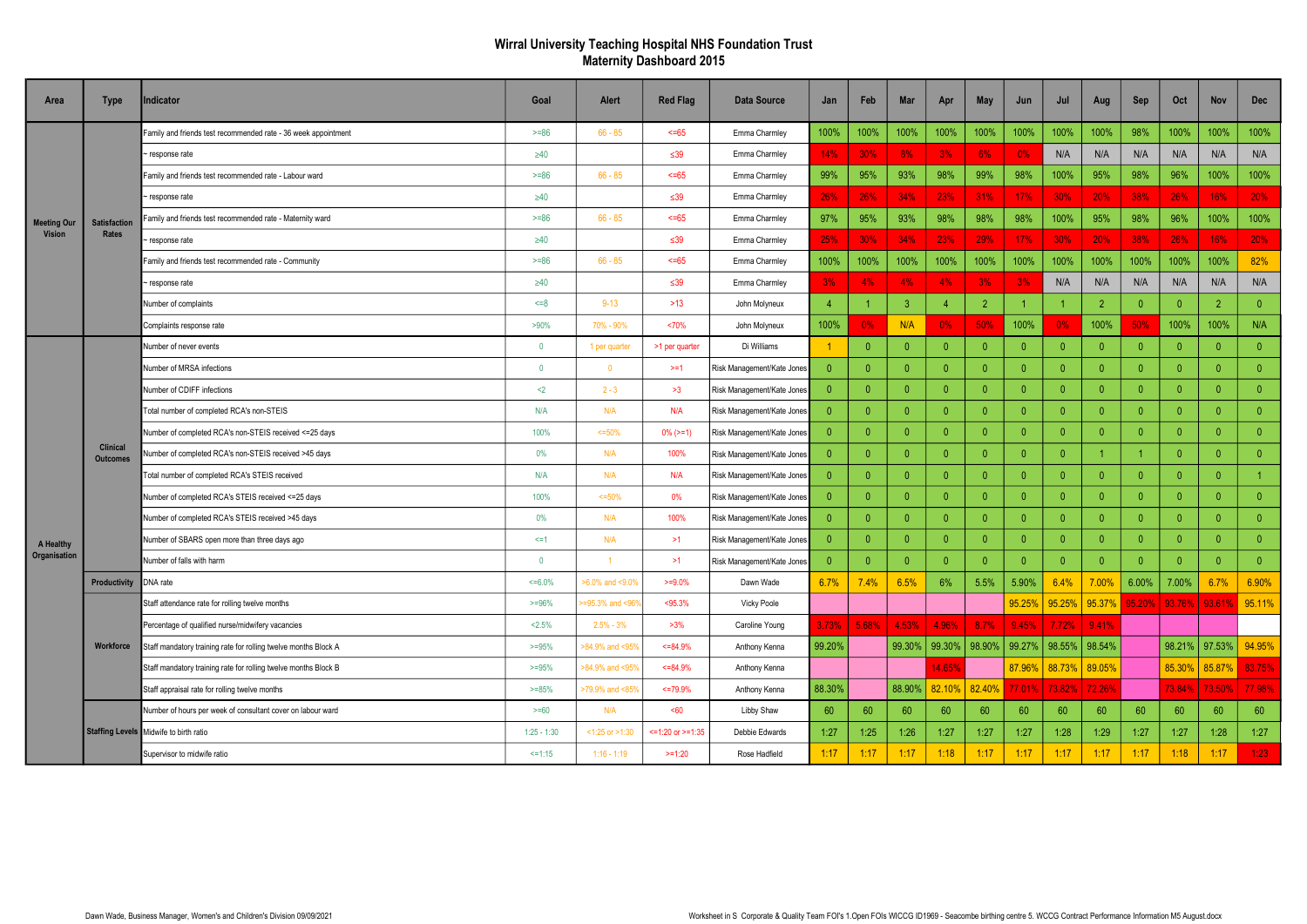## Wirral University Teaching Hospital NHS Foundation Trust Maternity Dashboard 2015

| Area               | <b>Type</b>                        | <b>Indicator</b>                                                | Goal           | Alert                | <b>Red Flag</b>   | <b>Data Source</b>         | Jan            | Feb            | <b>Mar</b>     | Apr            | <b>May</b>     | Jun            | Jul         | Aug            | Sep            | Oct             | <b>Nov</b>     | <b>Dec</b>     |
|--------------------|------------------------------------|-----------------------------------------------------------------|----------------|----------------------|-------------------|----------------------------|----------------|----------------|----------------|----------------|----------------|----------------|-------------|----------------|----------------|-----------------|----------------|----------------|
| <b>Meeting Our</b> |                                    | Family and friends test recommended rate - 36 week appointment  | $>= 86$        | $66 - 85$            | 55                | Emma Charmley              | 100%           | 100%           | 100%           | 100%           | 100%           | 100%           | 100%        | 100%           | 98%            | 100%            | 100%           | 100%           |
|                    |                                    | response rate                                                   | $\geq 40$      |                      | $\leq 39$         | Emma Charmley              | 14%            | 30%            | 8%             | 3%             | 6%             | 0%             | N/A         | N/A            | N/A            | N/A             | N/A            | N/A            |
|                    |                                    | Family and friends test recommended rate - Labour ward          | $>= 86$        | $66 - 85$            | 55                | Emma Charmley              | 99%            | 95%            | 93%            | 98%            | 99%            | 98%            | 100%        | 95%            | 98%            | 96%             | 100%           | 100%           |
|                    |                                    | response rate                                                   | $\geq 40$      |                      | $\leq 39$         | Emma Charmley              | 26%            | 26%            | 34%            | 23%            | 31%            | 17%            | 30%         | 20%            | 38%            | 26%             | 16%            | 20%            |
|                    | <b>Satisfaction</b>                | Family and friends test recommended rate - Maternity ward       | $>= 86$        | $66 - 85$            | 55                | Emma Charmley              | 97%            | 95%            | 93%            | 98%            | 98%            | 98%            | 100%        | 95%            | 98%            | 96%             | 100%           | 100%           |
| <b>Vision</b>      | Rates                              | response rate                                                   | $\geq 40$      |                      | $\leq 39$         | Emma Charmley              | 25%            | 30%            | 34%            | 23%            | 29%            | 17%            | 30%         | 20%            | 38%            | 26%             | 16%            | 20%            |
|                    |                                    | Family and friends test recommended rate - Community            | $>= 86$        | $66 - 85$            | $55 - 65$         | Emma Charmley              | 100%           | 100%           | 100%           | 100%           | 100%           | 100%           | 100%        | 100%           | 100%           | 100%            | 100%           | 82%            |
|                    |                                    | response rate                                                   | $\geq 40$      |                      | $\leq 39$         | Emma Charmley              | 3%             | 4%             | 4%             | 4%             | 3%             | 3%             | N/A         | N/A            | N/A            | N/A             | N/A            | N/A            |
|                    |                                    | Number of complaints                                            | $5 = 8$        | $9 - 13$             | $>13$             | John Molyneux              | - 4            | 1              | 3              |                | $\overline{2}$ |                |             | $\overline{2}$ | $\overline{0}$ | $\Omega$        | $\overline{2}$ | $\overline{0}$ |
|                    |                                    | Complaints response rate                                        | >90%           | 70% - 90%            | <70%              | John Molyneux              | 100%           | 0%             | N/A            | $0\%$          | 50%            | 100%           | 0%          | 100%           | 50%            | 100%            | 100%           | N/A            |
|                    | <b>Clinical</b><br><b>Outcomes</b> | Number of never events                                          | $\overline{0}$ | 1 per quarte         | >1 per quarter    | Di Williams                |                | $\overline{0}$ | $\overline{0}$ | $\overline{0}$ | $\overline{0}$ | $\theta$       | $\Omega$    | $\overline{0}$ | $\overline{0}$ | $\Omega$        | $\overline{0}$ | $\overline{0}$ |
|                    |                                    | Number of MRSA infections                                       | $\overline{0}$ | $\Omega$             | >1                | Risk Management/Kate Jones | $\Omega$       | $\overline{0}$ | $\overline{0}$ | $\Omega$       | $\overline{0}$ | $\overline{0}$ | $\Omega$    | $\overline{0}$ | $\overline{0}$ | $\Omega$        | $\mathbf{0}$   | $\overline{0}$ |
|                    |                                    | Number of CDIFF infections                                      | $2$            | $2 - 3$              | >3                | Risk Management/Kate Jones | $\overline{0}$ | $\mathbf{0}$   | $\overline{0}$ | $\Omega$       | $\mathbf{0}$   | $\overline{0}$ | $\Omega$    | $\mathbf{0}$   | $\overline{0}$ | $\Omega$        | $\Omega$       | $\theta$       |
|                    |                                    | Total number of completed RCA's non-STEIS                       | N/A            | N/A                  | N/A               | Risk Management/Kate Jones | $\overline{0}$ | $\overline{0}$ | $\overline{0}$ | $\Omega$       | $\overline{0}$ | $\overline{0}$ | $\Omega$    | $\overline{0}$ | $\overline{0}$ | $\Omega$        | $\overline{0}$ | $\overline{0}$ |
|                    |                                    | Number of completed RCA's non-STEIS received <= 25 days         | 100%           | $<=50%$              | $0\%$ ( $> = 1$ ) | Risk Management/Kate Jones | $\Omega$       | $\overline{0}$ | $\overline{0}$ | $\Omega$       | $\overline{0}$ | $\mathbf{0}$   | $\Omega$    | $\overline{0}$ | $\overline{0}$ | $\Omega$        | $\Omega$       | $\mathbf{0}$   |
|                    |                                    | Number of completed RCA's non-STEIS received >45 days           | 0%             | N/A                  | 100%              | Risk Management/Kate Jones | $\overline{0}$ | $\mathbf{0}$   | $\overline{0}$ | $\Omega$       | $\mathbf{0}$   | $\overline{0}$ |             |                |                | $\Omega$        | $\Omega$       | $\theta$       |
|                    |                                    | Total number of completed RCA's STEIS received                  | N/A            | N/A                  | N/A               | Risk Management/Kate Jones | $\overline{0}$ | $\overline{0}$ | $\overline{0}$ | $\theta$       | $\overline{0}$ | $\theta$       | $\Omega$    | $\overline{0}$ | $\overline{0}$ | $\theta$        | $\overline{0}$ |                |
|                    |                                    | Number of completed RCA's STEIS received <= 25 days             | 100%           | $<=50%$              | 0%                | Risk Management/Kate Jones | $\Omega$       | $\overline{0}$ | $\overline{0}$ | $\Omega$       | $\overline{0}$ | $\overline{0}$ | $\Omega$    | $\overline{0}$ | $\overline{0}$ | $\Omega$        | $\overline{0}$ | $\overline{0}$ |
|                    |                                    | Number of completed RCA's STEIS received >45 days               | 0%             | <b>N/A</b>           | 100%              | Risk Management/Kate Jones | $\Omega$       | $\overline{0}$ | $\overline{0}$ | $\Omega$       | $\mathbf{0}$   | $\overline{0}$ |             | $\overline{0}$ | $\overline{0}$ | $\Omega$        | $\Omega$       | $\mathbf{0}$   |
| A Healthy          |                                    | Number of SBARS open more than three days ago                   | $\leq$ =1      | N/A                  | >1                | Risk Management/Kate Jones | $\Omega$       | $\overline{0}$ | $\Omega$       | $\Omega$       | $\overline{0}$ | $\overline{0}$ | $\Omega$    | $\overline{0}$ | $\overline{0}$ | $\Omega$        | $\Omega$       | $\overline{0}$ |
| Organisation       |                                    | Number of falls with harm                                       | $\overline{0}$ |                      | >1                | Risk Management/Kate Jones | $\Omega$       | $\overline{0}$ | $\overline{0}$ | $\Omega$       | $\Omega$       | $\mathbf{0}$   | $\Omega$    | $\overline{0}$ | $\overline{0}$ | $\Omega$        | $\overline{0}$ | $\overline{0}$ |
|                    | Productivity                       | DNA rate                                                        | $<=6.0\%$      | >6.0% and <9.0%      | $>=9.0%$          | Dawn Wade                  | 6.7%           | 7.4%           | 6.5%           | 6%             | 5.5%           | 5.90%          | 6.4%        | 7.00%          | 6.00%          | 7.00%           | 6.7%           | 6.90%          |
|                    |                                    | Staff attendance rate for rolling twelve months                 | $>=96%$        | $=95.3\%$ and $< 96$ | < 95.3%           | Vicky Poole                |                |                |                |                |                | 95.25%         | 95.25%      | 95.37%         |                | 95.20%   93.76% | 93.61%         | 95.11%         |
|                    |                                    | Percentage of qualified nurse/midwifery vacancies               | < 2.5%         | $2.5% - 3%$          | >3%               | Caroline Young             | 3.73%          | 5.68%          | 4.53%          | 4.96%          | 8.7%           | 9.45%          | 7.72%       | 9.41%          |                |                 |                |                |
|                    | Workforce                          | Staff mandatory training rate for rolling twelve months Block A | $>=95%$        | >84.9% and <959      | $<=84.9\%$        | Anthony Kenna              | 99.20%         |                | 99.30%         | 99.30%         | 98.90%         | 99.27%         | 98.55%      | 98.54%         |                | 98.21%   97.53% |                | 94.95%         |
|                    |                                    | Staff mandatory training rate for rolling twelve months Block B | $>=95%$        | >84.9% and <959      | $<=84.9\%$        | Anthony Kenna              |                |                |                | 14.65%         |                | 87.96%         | 88.73%      | 89.05%         |                | 85.30%          | 85.87%         | 83.75%         |
|                    |                                    | Staff appraisal rate for rolling twelve months                  | $>=85%$        | >79.9% and <85%      | $<=79.9\%$        | Anthony Kenna              | 88.30%         |                | 88.90%         | 82.10%         | 82.40%         | 77.01%         | $ 73.82\% $ | 72.26%         |                | 73.84%          | 73.50%         | 77.98%         |
|                    |                                    | Number of hours per week of consultant cover on labour ward     | $>= 60$        | N/A                  | <60               | Libby Shaw                 | 60             | 60             | 60             | 60             | 60             | 60             | 60          | 60             | 60             | 60              | 60             | 60             |
|                    |                                    | Staffing Levels Midwife to birth ratio                          | $1:25 - 1:30$  | $<$ 1:25 or $>$ 1:30 | <=1:20 or >=1:35  | Debbie Edwards             | 1:27           | 1:25           | 1:26           | 1:27           | 1:27           | 1:27           | 1:28        | 1:29           | 1:27           | 1:27            | 1:28           | 1:27           |
|                    |                                    | Supervisor to midwife ratio                                     | $5 = 1:15$     | $1:16 - 1:19$        | $>=1:20$          | Rose Hadfield              | 1:17           | 1:17           | 1:17           | 1:18           | 1:17           | 1:17           | 1:17        | 1:17           | 1:17           | 1:18            | 1:17           | 1:23           |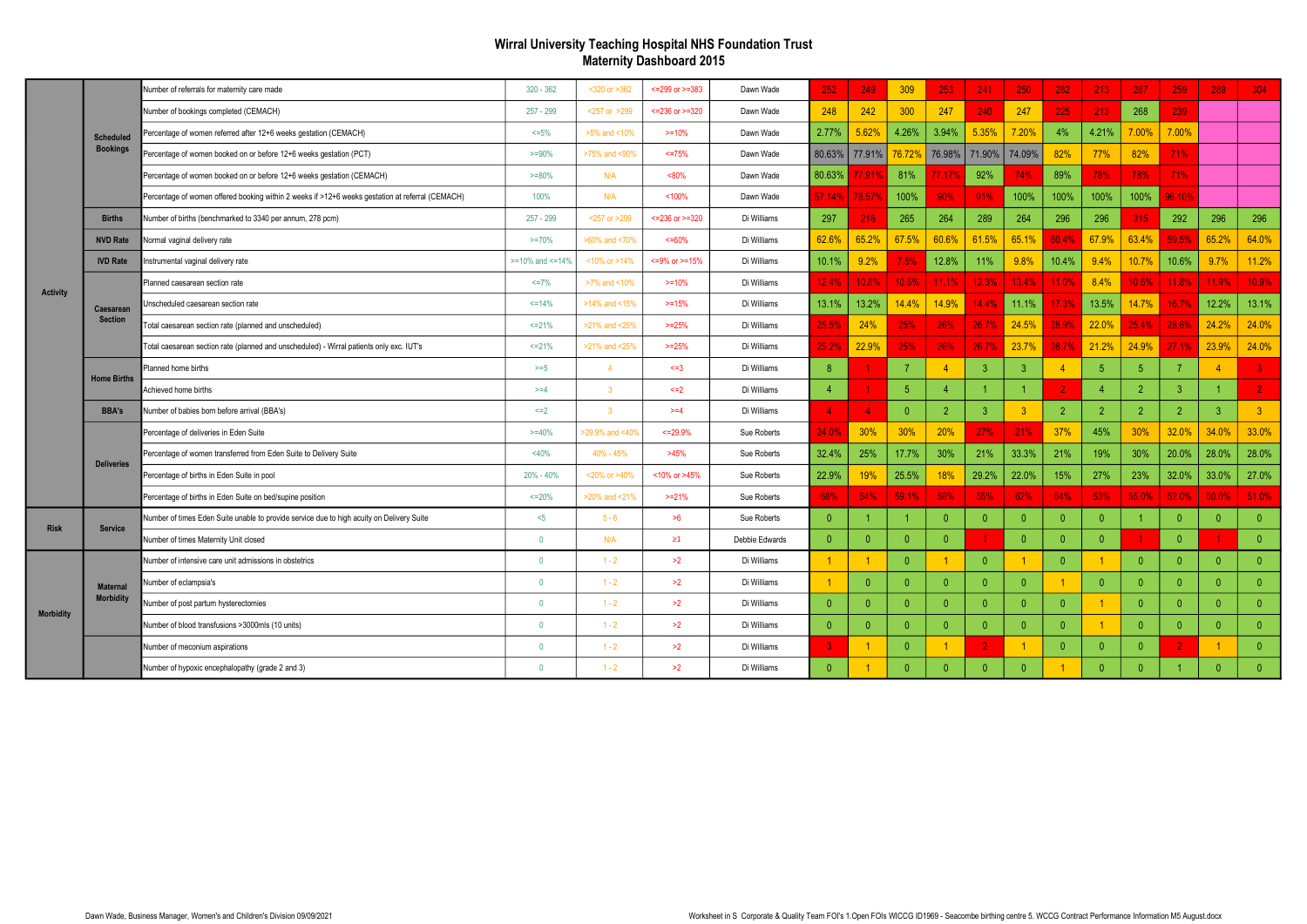## Wirral University Teaching Hospital NHS Foundation Trust Maternity Dashboard 2015

|                  |                    | Number of referrals for maternity care made                                                      | $320 - 362$           | <320 or >362            | $<=299$ or $>=383$ | Dawn Wade      | 252                    | 249      | 309            | 253            | 241            | 250            | 282           | 213            | 287            | 259            | 289            | 304            |
|------------------|--------------------|--------------------------------------------------------------------------------------------------|-----------------------|-------------------------|--------------------|----------------|------------------------|----------|----------------|----------------|----------------|----------------|---------------|----------------|----------------|----------------|----------------|----------------|
|                  |                    | Number of bookings completed (CEMACH)                                                            | $257 - 299$           | <257 or >299            | $<=236$ or $>=320$ | Dawn Wade      | 248                    | 242      | 300            | 247            | 240            | 247            | 225           | 213            | 268            | 239            |                |                |
|                  | <b>Scheduled</b>   | Percentage of women referred after 12+6 weeks gestation (CEMACH)                                 | $<=5%$                | >5% and <10%            | $>=10%$            | Dawn Wade      | 2.77%                  | 5.62%    | 4.26%          | 3.94%          | 5.35%          | 7.20%          | 4%            | 4.21%          | 7.00%          | 7.00%          |                |                |
|                  | <b>Bookings</b>    | Percentage of women booked on or before 12+6 weeks gestation (PCT)                               | $>=90%$               | >75% and <90%           | $<=75%$            | Dawn Wade      | 80.63%                 | 77.91%   | 76.72%         | 76.98%         | 71.90%         | 74.09%         | 82%           | 77%            | 82%            | 71%            |                |                |
|                  |                    | Percentage of women booked on or before 12+6 weeks gestation (CEMACH)                            | $>=80%$               | N/A                     | $< 80\%$           | Dawn Wade      | 80.63%                 | '.91%    | 81%            | 7.17           | 92%            | 74%            | 89%           | 78%            | 78%            | 71%            |                |                |
|                  |                    | Percentage of women offered booking within 2 weeks if >12+6 weeks gestation at referral (CEMACH) | 100%                  | N/A                     | <100%              | Dawn Wade      | 57.14%                 | 78.57%   | 100%           | 90%            | 91%            | 100%           | 100%          | 100%           | 100%           | 96.10%         |                |                |
|                  | <b>Births</b>      | Number of births (benchmarked to 3340 per annum, 278 pcm)                                        | $257 - 299$           | <257 or >299            | $<=236$ or $>=320$ | Di Williams    | 297                    | 216      | 265            | 264            | 289            | 264            | 296           | 296            | 315            | 292            | 296            | 296            |
|                  | <b>NVD Rate</b>    | <b>Normal vaginal delivery rate</b>                                                              | $>=70%$               | >60% and <70%           | $<=60\%$           | Di Williams    | 62.6%                  | 65.2%    | 67.5%          | 60.6%          | 61.5%          | 65.1%          | 60.4%         | 67.9%          | 63.4%          | 59.5%          | 65.2%          | 64.0%          |
|                  | <b>IVD Rate</b>    | nstrumental vaginal delivery rate                                                                | $>=10\%$ and $<=14\%$ | <10% or >14%            | <= 9% or > = 15%   | Di Williams    | 10.1%                  | 9.2%     | 7.5%           | 12.8%          | 11%            | 9.8%           | 10.4%         | 9.4%           | 10.7%          | 10.6%          | 9.7%           | 11.2%          |
| <b>Activity</b>  |                    | Planned caesarean section rate                                                                   | $\leq$ 7%             | >7% and <10%            | $>= 10%$           | Di Williams    | 12.4%                  | 10.8%    | 10.6%          | 11.1%          | 12.3%          | 13.4%          | 11.0%         | 8.4%           | 10.6%          | 11.8%          | 11.9%          | 10.9%          |
|                  | Caesarean          | Jnscheduled caesarean section rate                                                               | $\leq$ 14%            | >14% and <15%           | $>=15%$            | Di Williams    | 13.1%                  | 13.2%    | 14.4%          | 14.9%          | 14.4%          | 11.1%          | 17.3%         | 13.5%          | 14.7%          | 16.7%          | 12.2%          | 13.1%          |
|                  | <b>Section</b>     | Total caesarean section rate (planned and unscheduled)                                           | $<=21%$               | >21% and <25%           | $>=25%$            | Di Williams    | 25.5%                  | 24%      | 25%            | 26%            | 26.7%          | 24.5%          | 28.9%         | 22.0%          | 25.4%          | 28.6%          | 24.2%          | 24.0%          |
|                  |                    | Fotal caesarean section rate (planned and unscheduled) - Wirral patients only exc. IUT's         | $\leq$ 21%            | >21% and <25%           | $>=25%$            | Di Williams    | 25.2%                  | 22.9%    | 25%            | 26%            | 26.7%          | 23.7%          | 28.7%         | 21.2%          | 24.9%          | 27.1%          | 23.9%          | 24.0%          |
|                  | <b>Home Births</b> | Planned home births                                                                              | $>= 5$                | $\overline{4}$          | $\leq$ =3          | Di Williams    | -8                     |          | $\overline{7}$ |                | -3             | 3              |               | 5              | 5              |                |                | $\overline{3}$ |
|                  |                    | Achieved home births                                                                             | $>= 4$                | $\overline{3}$          | $\leq$ 2           | Di Williams    | $\overline{4}$         |          | 5 <sup>5</sup> | 4              |                |                |               |                | $\overline{2}$ | -3             |                | $\overline{2}$ |
|                  | <b>BBA's</b>       | Number of babies born before arrival (BBA's)                                                     | $\leq$ 2              | $\overline{\mathbf{3}}$ | $>= 4$             | Di Williams    | $\boldsymbol{\Lambda}$ |          | $\overline{0}$ | $\overline{2}$ | $\mathbf{3}$   | $\overline{3}$ | $\mathcal{D}$ | $\overline{2}$ | $\overline{2}$ | $\overline{2}$ | $\overline{3}$ | $\overline{3}$ |
|                  |                    | Percentage of deliveries in Eden Suite                                                           | $>= 40%$              | >29.9% and <40%         | $<=29.9%$          | Sue Roberts    | 24.0%                  | 30%      | 30%            | 20%            | 27%            | 21%            | 37%           | 45%            | 30%            | 32.0%          | 34.0%          | 33.0%          |
|                  | <b>Deliveries</b>  | Percentage of women transferred from Eden Suite to Delivery Suite                                | <40%                  | 40% - 45%               | >45%               | Sue Roberts    | 32.4%                  | 25%      | 17.7%          | 30%            | 21%            | 33.3%          | 21%           | 19%            | 30%            | 20.0%          | 28.0%          | 28.0%          |
|                  |                    | Percentage of births in Eden Suite in pool                                                       | 20% - 40%             | <20% or >40%            | <10% or >45%       | Sue Roberts    | 22.9%                  | 19%      | 25.5%          | 18%            | 29.2%          | 22.0%          | 15%           | 27%            | 23%            | 32.0%          | 33.0%          | 27.0%          |
|                  |                    | Percentage of births in Eden Suite on bed/supine position                                        | $<=20%$               | >20% and <21%           | $>=21%$            | Sue Roberts    | 68%                    | 54%      | 59.1%          | 58%            | 55%            | 62%            | 54%           | 53%            | 55.0%          | 52.0%          | 50.0%          | 51.0%          |
| <b>Risk</b>      | <b>Service</b>     | Number of times Eden Suite unable to provide service due to high acuity on Delivery Suite        | $<$ 5                 | $5 - 6$                 | >6                 | Sue Roberts    | $\Omega$               |          |                | $\mathbf{0}$   | $\Omega$       | $\mathbf{0}$   | $\Omega$      | $\theta$       |                | $\Omega$       | $\theta$       | $\overline{0}$ |
|                  |                    | Number of times Maternity Unit closed                                                            | $\overline{0}$        | N/A                     | $\geq 1$           | Debbie Edwards | $\Omega$               |          | $\theta$       | $\mathbf{0}$   |                | $\Omega$       | $\Omega$      | $\Omega$       | $\overline{1}$ | $\Omega$       |                | $\overline{0}$ |
| <b>Morbidity</b> |                    | Number of intensive care unit admissions in obstetrics                                           | $\mathbf{0}$          | $1 - 2$                 | >2                 | Di Williams    |                        |          | $\theta$       |                | $\Omega$       |                | $\Omega$      |                | $\mathbf{0}$   | $\overline{0}$ | $\overline{0}$ | $\overline{0}$ |
|                  | <b>Maternal</b>    | Number of eclampsia's                                                                            | $\mathbf 0$           | $1 - 2$                 | >2                 | Di Williams    |                        | $\Omega$ | $\overline{0}$ | $\overline{0}$ | $\Omega$       | $\mathbf{0}$   |               | $\mathbf{0}$   | $\mathbf{0}$   | $\overline{0}$ | $\mathbf{0}$   | $\overline{0}$ |
|                  | <b>Morbidity</b>   | Number of post partum hysterectomies                                                             | $\mathbf{0}$          | $1 - 2$                 | >2                 | Di Williams    | $\Omega$               |          | $\mathbf{0}$   | $\mathbf{0}$   | $\Omega$       | $\Omega$       | $\Omega$      |                | $\Omega$       | $\Omega$       | $\Omega$       | $\overline{0}$ |
|                  |                    | Number of blood transfusions >3000mls (10 units)                                                 | $\overline{0}$        | $1 - 2$                 | >2                 | Di Williams    | $\theta$               |          | $\overline{0}$ | $\overline{0}$ | $\Omega$       | $\mathbf{0}$   | $\Omega$      |                | $\mathbf{0}$   | $\Omega$       | $\mathbf{0}$   | $\mathbf{0}$   |
|                  |                    | Number of meconium aspirations                                                                   | $\mathbf 0$           | $1 - 2$                 | >2                 | Di Williams    | 3                      |          | $\theta$       |                | $\overline{2}$ |                |               | $\mathbf{0}$   | $\mathbf{0}$   |                |                | $\mathbf{0}$   |
|                  |                    | Number of hypoxic encephalopathy (grade 2 and 3)                                                 | $\overline{0}$        | $1 - 2$                 | >2                 | Di Williams    | $\Omega$               |          | $\Omega$       | $\Omega$       | $\Omega$       | $\Omega$       |               | $\Omega$       | $\Omega$       |                | $\Omega$       | $\Omega$       |